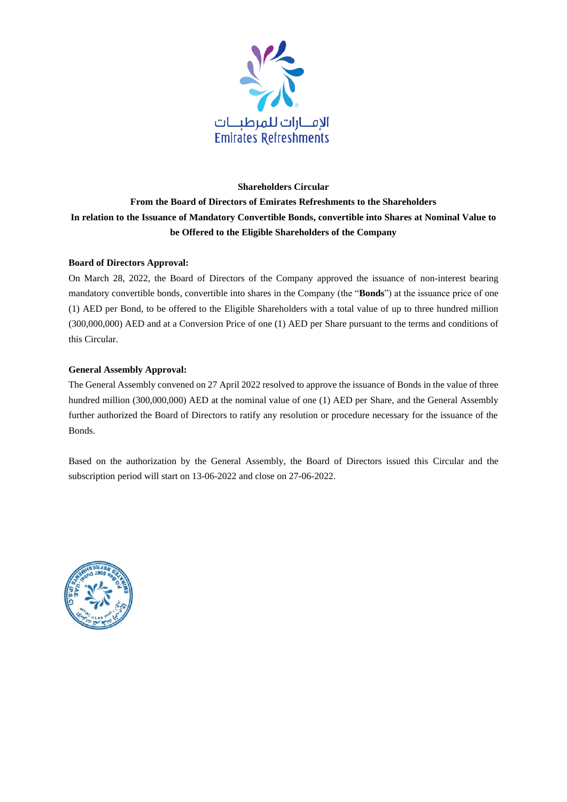

# **Shareholders Circular From the Board of Directors of Emirates Refreshments to the Shareholders In relation to the Issuance of Mandatory Convertible Bonds, convertible into Shares at Nominal Value to be Offered to the Eligible Shareholders of the Company**

# **Board of Directors Approval:**

On March 28, 2022, the Board of Directors of the Company approved the issuance of non-interest bearing mandatory convertible bonds, convertible into shares in the Company (the "**Bonds**") at the issuance price of one (1) AED per Bond, to be offered to the Eligible Shareholders with a total value of up to three hundred million (300,000,000) AED and at a Conversion Price of one (1) AED per Share pursuant to the terms and conditions of this Circular.

# **General Assembly Approval:**

The General Assembly convened on 27 April 2022 resolved to approve the issuance of Bonds in the value of three hundred million (300,000,000) AED at the nominal value of one (1) AED per Share, and the General Assembly further authorized the Board of Directors to ratify any resolution or procedure necessary for the issuance of the Bonds.

Based on the authorization by the General Assembly, the Board of Directors issued this Circular and the subscription period will start on 13-06-2022 and close on 27-06-2022.

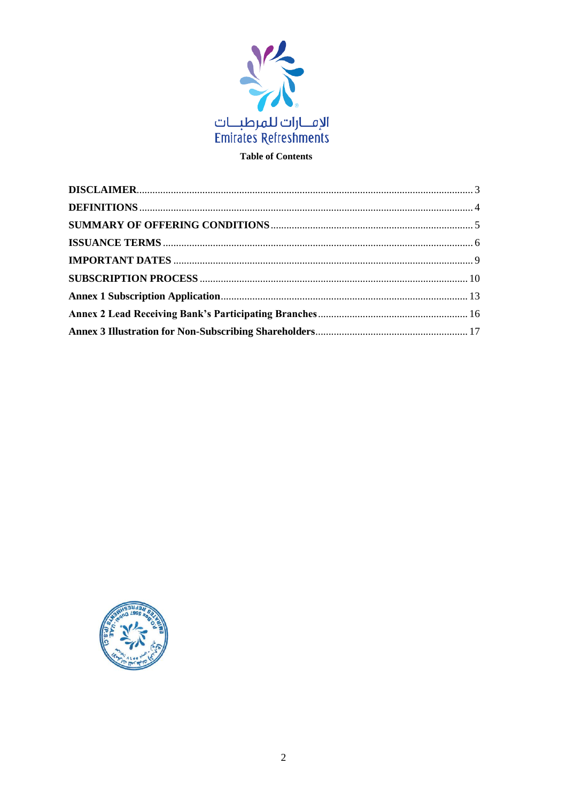

**Table of Contents** 

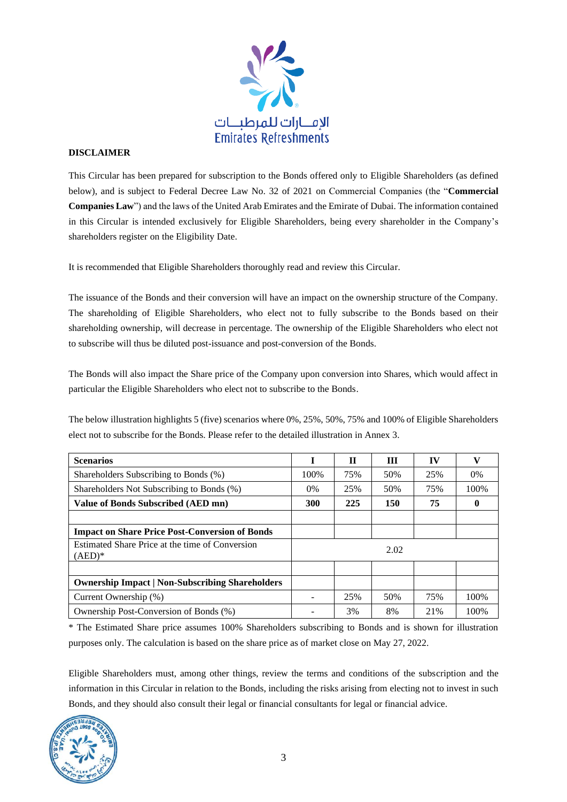

# <span id="page-2-0"></span>**DISCLAIMER**

This Circular has been prepared for subscription to the Bonds offered only to Eligible Shareholders (as defined below), and is subject to Federal Decree Law No. 32 of 2021 on Commercial Companies (the "**Commercial Companies Law**") and the laws of the United Arab Emirates and the Emirate of Dubai. The information contained in this Circular is intended exclusively for Eligible Shareholders, being every shareholder in the Company's shareholders register on the Eligibility Date.

It is recommended that Eligible Shareholders thoroughly read and review this Circular.

The issuance of the Bonds and their conversion will have an impact on the ownership structure of the Company. The shareholding of Eligible Shareholders, who elect not to fully subscribe to the Bonds based on their shareholding ownership, will decrease in percentage. The ownership of the Eligible Shareholders who elect not to subscribe will thus be diluted post-issuance and post-conversion of the Bonds.

The Bonds will also impact the Share price of the Company upon conversion into Shares, which would affect in particular the Eligible Shareholders who elect not to subscribe to the Bonds.

The below illustration highlights 5 (five) scenarios where 0%, 25%, 50%, 75% and 100% of Eligible Shareholders elect not to subscribe for the Bonds. Please refer to the detailed illustration in Annex 3.

| <b>Scenarios</b>                                            | I     | П   | Ш    | IV  | v     |
|-------------------------------------------------------------|-------|-----|------|-----|-------|
| Shareholders Subscribing to Bonds (%)                       | 100\% | 75% | 50%  | 25% | $0\%$ |
| Shareholders Not Subscribing to Bonds (%)                   | $0\%$ | 25% | 50%  | 75% | 100%  |
| Value of Bonds Subscribed (AED mn)                          | 300   | 225 | 150  | 75  | 0     |
|                                                             |       |     |      |     |       |
| <b>Impact on Share Price Post-Conversion of Bonds</b>       |       |     |      |     |       |
| Estimated Share Price at the time of Conversion<br>$(AED)*$ |       |     | 2.02 |     |       |
|                                                             |       |     |      |     |       |
| <b>Ownership Impact   Non-Subscribing Shareholders</b>      |       |     |      |     |       |
| Current Ownership (%)                                       |       | 25% | 50%  | 75% | 100%  |
| Ownership Post-Conversion of Bonds (%)                      |       | 3%  | 8%   | 21% | 100\% |

\* The Estimated Share price assumes 100% Shareholders subscribing to Bonds and is shown for illustration purposes only. The calculation is based on the share price as of market close on May 27, 2022.

Eligible Shareholders must, among other things, review the terms and conditions of the subscription and the information in this Circular in relation to the Bonds, including the risks arising from electing not to invest in such Bonds, and they should also consult their legal or financial consultants for legal or financial advice.

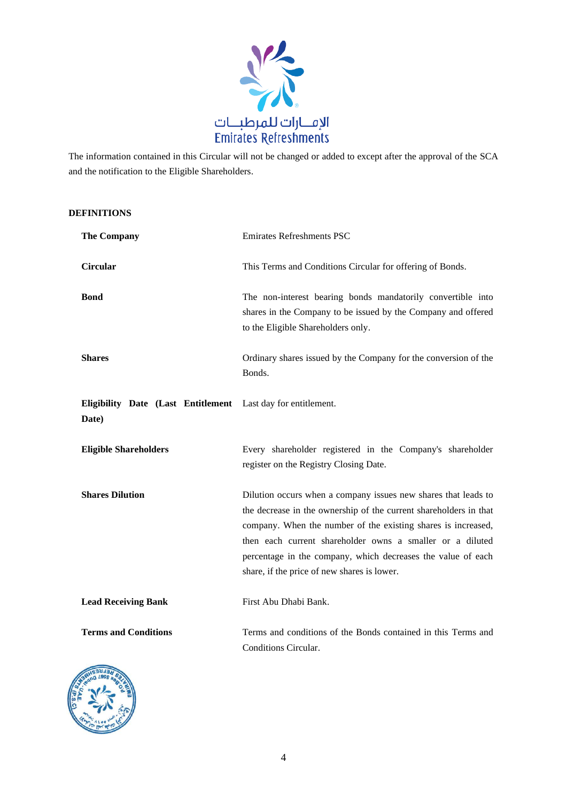

The information contained in this Circular will not be changed or added to except after the approval of the SCA and the notification to the Eligible Shareholders.

<span id="page-3-0"></span>

| <b>Circular</b><br>This Terms and Conditions Circular for offering of Bonds.<br><b>Bond</b><br>to the Eligible Shareholders only.<br><b>Shares</b><br>Bonds.<br>Eligibility Date (Last Entitlement Last day for entitlement.<br>Date)<br><b>Eligible Shareholders</b><br>register on the Registry Closing Date.<br><b>Shares Dilution</b><br>share, if the price of new shares is lower. | <b>The Company</b> | <b>Emirates Refreshments PSC</b>                                                                                                                                                                                                                                                                                                  |
|------------------------------------------------------------------------------------------------------------------------------------------------------------------------------------------------------------------------------------------------------------------------------------------------------------------------------------------------------------------------------------------|--------------------|-----------------------------------------------------------------------------------------------------------------------------------------------------------------------------------------------------------------------------------------------------------------------------------------------------------------------------------|
|                                                                                                                                                                                                                                                                                                                                                                                          |                    |                                                                                                                                                                                                                                                                                                                                   |
|                                                                                                                                                                                                                                                                                                                                                                                          |                    | The non-interest bearing bonds mandatorily convertible into<br>shares in the Company to be issued by the Company and offered                                                                                                                                                                                                      |
|                                                                                                                                                                                                                                                                                                                                                                                          |                    | Ordinary shares issued by the Company for the conversion of the                                                                                                                                                                                                                                                                   |
|                                                                                                                                                                                                                                                                                                                                                                                          |                    |                                                                                                                                                                                                                                                                                                                                   |
|                                                                                                                                                                                                                                                                                                                                                                                          |                    | Every shareholder registered in the Company's shareholder                                                                                                                                                                                                                                                                         |
|                                                                                                                                                                                                                                                                                                                                                                                          |                    | Dilution occurs when a company issues new shares that leads to<br>the decrease in the ownership of the current shareholders in that<br>company. When the number of the existing shares is increased,<br>then each current shareholder owns a smaller or a diluted<br>percentage in the company, which decreases the value of each |
| <b>Lead Receiving Bank</b><br>First Abu Dhabi Bank.                                                                                                                                                                                                                                                                                                                                      |                    |                                                                                                                                                                                                                                                                                                                                   |
| <b>Terms and Conditions</b><br>Conditions Circular.                                                                                                                                                                                                                                                                                                                                      |                    | Terms and conditions of the Bonds contained in this Terms and                                                                                                                                                                                                                                                                     |

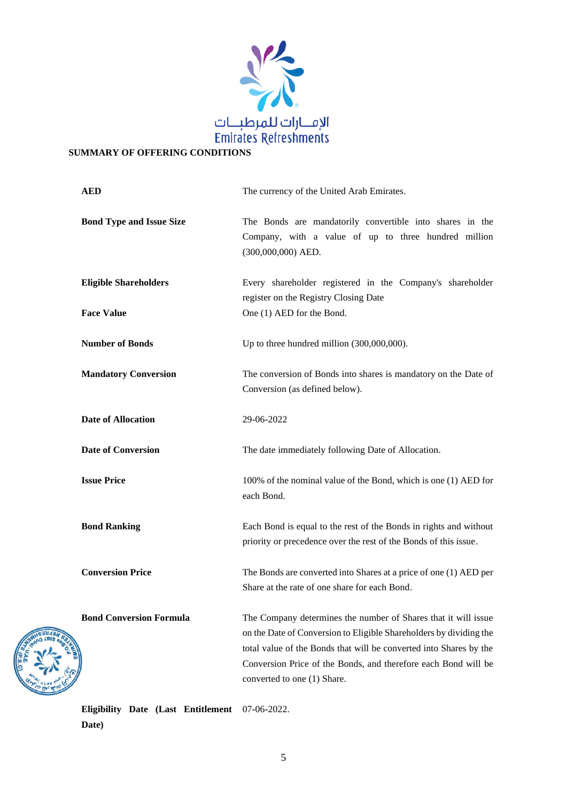

# <span id="page-4-0"></span>**SUMMARY OF OFFERING CONDITIONS**

| <b>AED</b>                      | The currency of the United Arab Emirates.                                                                                                                                                                                                                                                                   |
|---------------------------------|-------------------------------------------------------------------------------------------------------------------------------------------------------------------------------------------------------------------------------------------------------------------------------------------------------------|
| <b>Bond Type and Issue Size</b> | The Bonds are mandatorily convertible into shares in the<br>Company, with a value of up to three hundred million<br>$(300,000,000)$ AED.                                                                                                                                                                    |
| <b>Eligible Shareholders</b>    | Every shareholder registered in the Company's shareholder<br>register on the Registry Closing Date                                                                                                                                                                                                          |
| <b>Face Value</b>               | One (1) AED for the Bond.                                                                                                                                                                                                                                                                                   |
| <b>Number of Bonds</b>          | Up to three hundred million (300,000,000).                                                                                                                                                                                                                                                                  |
| <b>Mandatory Conversion</b>     | The conversion of Bonds into shares is mandatory on the Date of<br>Conversion (as defined below).                                                                                                                                                                                                           |
| <b>Date of Allocation</b>       | 29-06-2022                                                                                                                                                                                                                                                                                                  |
| <b>Date of Conversion</b>       | The date immediately following Date of Allocation.                                                                                                                                                                                                                                                          |
| <b>Issue Price</b>              | 100% of the nominal value of the Bond, which is one (1) AED for<br>each Bond.                                                                                                                                                                                                                               |
| <b>Bond Ranking</b>             | Each Bond is equal to the rest of the Bonds in rights and without<br>priority or precedence over the rest of the Bonds of this issue.                                                                                                                                                                       |
| <b>Conversion Price</b>         | The Bonds are converted into Shares at a price of one (1) AED per<br>Share at the rate of one share for each Bond.                                                                                                                                                                                          |
| <b>Bond Conversion Formula</b>  | The Company determines the number of Shares that it will issue<br>on the Date of Conversion to Eligible Shareholders by dividing the<br>total value of the Bonds that will be converted into Shares by the<br>Conversion Price of the Bonds, and therefore each Bond will be<br>converted to one (1) Share. |

**Eligibility Date (Last Entitlement**  07-06-2022.**Date)**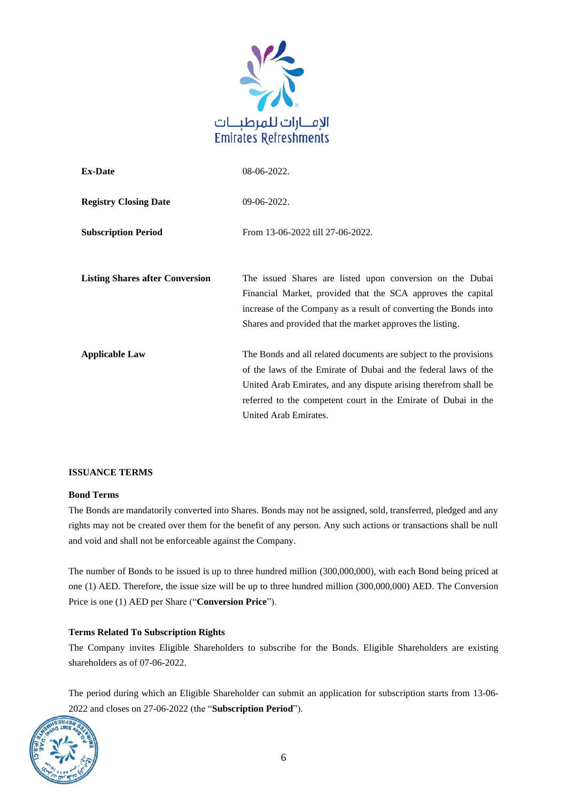

| <b>Ex-Date</b>                         | 08-06-2022.                                                                                                                                                                                                                                                                                         |
|----------------------------------------|-----------------------------------------------------------------------------------------------------------------------------------------------------------------------------------------------------------------------------------------------------------------------------------------------------|
| <b>Registry Closing Date</b>           | $09-06-2022.$                                                                                                                                                                                                                                                                                       |
| <b>Subscription Period</b>             | From 13-06-2022 till 27-06-2022.                                                                                                                                                                                                                                                                    |
| <b>Listing Shares after Conversion</b> | The issued Shares are listed upon conversion on the Dubai<br>Financial Market, provided that the SCA approves the capital<br>increase of the Company as a result of converting the Bonds into<br>Shares and provided that the market approves the listing.                                          |
| <b>Applicable Law</b>                  | The Bonds and all related documents are subject to the provisions<br>of the laws of the Emirate of Dubai and the federal laws of the<br>United Arab Emirates, and any dispute arising therefrom shall be<br>referred to the competent court in the Emirate of Dubai in the<br>United Arab Emirates. |

# <span id="page-5-0"></span>**ISSUANCE TERMS**

#### **Bond Terms**

The Bonds are mandatorily converted into Shares. Bonds may not be assigned, sold, transferred, pledged and any rights may not be created over them for the benefit of any person. Any such actions or transactions shall be null and void and shall not be enforceable against the Company.

The number of Bonds to be issued is up to three hundred million (300,000,000), with each Bond being priced at one (1) AED. Therefore, the issue size will be up to three hundred million (300,000,000) AED. The Conversion Price is one (1) AED per Share ("**Conversion Price**").

#### **Terms Related To Subscription Rights**

The Company invites Eligible Shareholders to subscribe for the Bonds. Eligible Shareholders are existing shareholders as of 07-06-2022.

The period during which an Eligible Shareholder can submit an application for subscription starts from 13-06- 2022 and closes on 27-06-2022 (the "**Subscription Period**").

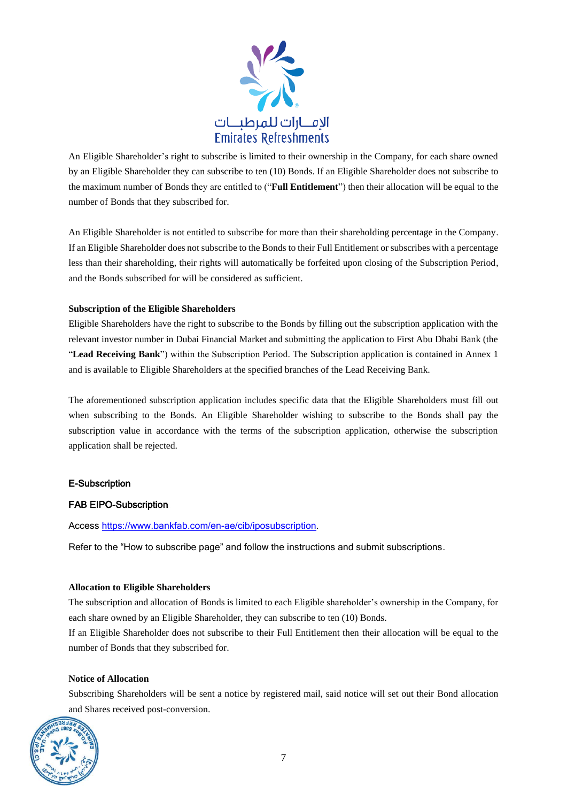

An Eligible Shareholder's right to subscribe is limited to their ownership in the Company, for each share owned by an Eligible Shareholder they can subscribe to ten (10) Bonds. If an Eligible Shareholder does not subscribe to the maximum number of Bonds they are entitled to ("**Full Entitlement**") then their allocation will be equal to the number of Bonds that they subscribed for.

An Eligible Shareholder is not entitled to subscribe for more than their shareholding percentage in the Company. If an Eligible Shareholder does not subscribe to the Bonds to their Full Entitlement or subscribes with a percentage less than their shareholding, their rights will automatically be forfeited upon closing of the Subscription Period, and the Bonds subscribed for will be considered as sufficient.

# **Subscription of the Eligible Shareholders**

Eligible Shareholders have the right to subscribe to the Bonds by filling out the subscription application with the relevant investor number in Dubai Financial Market and submitting the application to First Abu Dhabi Bank (the "**Lead Receiving Bank**") within the Subscription Period. The Subscription application is contained in Annex 1 and is available to Eligible Shareholders at the specified branches of the Lead Receiving Bank.

The aforementioned subscription application includes specific data that the Eligible Shareholders must fill out when subscribing to the Bonds. An Eligible Shareholder wishing to subscribe to the Bonds shall pay the subscription value in accordance with the terms of the subscription application, otherwise the subscription application shall be rejected.

# E-Subscription

# FAB EIPO-Subscription

Access [https://www.bankfab.com/en-ae/cib/iposubscription.](https://www.bankfab.com/en-ae/cib/iposubscription)

Refer to the "How to subscribe page" and follow the instructions and submit subscriptions.

# **Allocation to Eligible Shareholders**

The subscription and allocation of Bonds is limited to each Eligible shareholder's ownership in the Company, for each share owned by an Eligible Shareholder, they can subscribe to ten (10) Bonds.

If an Eligible Shareholder does not subscribe to their Full Entitlement then their allocation will be equal to the number of Bonds that they subscribed for.

# **Notice of Allocation**

Subscribing Shareholders will be sent a notice by registered mail, said notice will set out their Bond allocation and Shares received post-conversion.

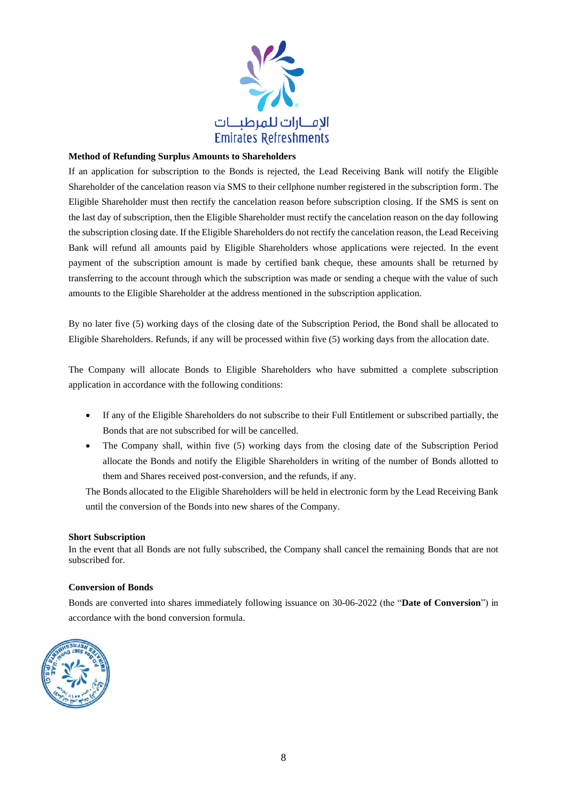

## **Method of Refunding Surplus Amounts to Shareholders**

If an application for subscription to the Bonds is rejected, the Lead Receiving Bank will notify the Eligible Shareholder of the cancelation reason via SMS to their cellphone number registered in the subscription form. The Eligible Shareholder must then rectify the cancelation reason before subscription closing. If the SMS is sent on the last day of subscription, then the Eligible Shareholder must rectify the cancelation reason on the day following the subscription closing date. If the Eligible Shareholders do not rectify the cancelation reason, the Lead Receiving Bank will refund all amounts paid by Eligible Shareholders whose applications were rejected. In the event payment of the subscription amount is made by certified bank cheque, these amounts shall be returned by transferring to the account through which the subscription was made or sending a cheque with the value of such amounts to the Eligible Shareholder at the address mentioned in the subscription application.

By no later five (5) working days of the closing date of the Subscription Period, the Bond shall be allocated to Eligible Shareholders. Refunds, if any will be processed within five (5) working days from the allocation date.

The Company will allocate Bonds to Eligible Shareholders who have submitted a complete subscription application in accordance with the following conditions:

- If any of the Eligible Shareholders do not subscribe to their Full Entitlement or subscribed partially, the Bonds that are not subscribed for will be cancelled.
- The Company shall, within five (5) working days from the closing date of the Subscription Period allocate the Bonds and notify the Eligible Shareholders in writing of the number of Bonds allotted to them and Shares received post-conversion, and the refunds, if any.

The Bonds allocated to the Eligible Shareholders will be held in electronic form by the Lead Receiving Bank until the conversion of the Bonds into new shares of the Company.

#### **Short Subscription**

In the event that all Bonds are not fully subscribed, the Company shall cancel the remaining Bonds that are not subscribed for.

#### **Conversion of Bonds**

Bonds are converted into shares immediately following issuance on 30-06-2022 (the "**Date of Conversion**") in accordance with the bond conversion formula.

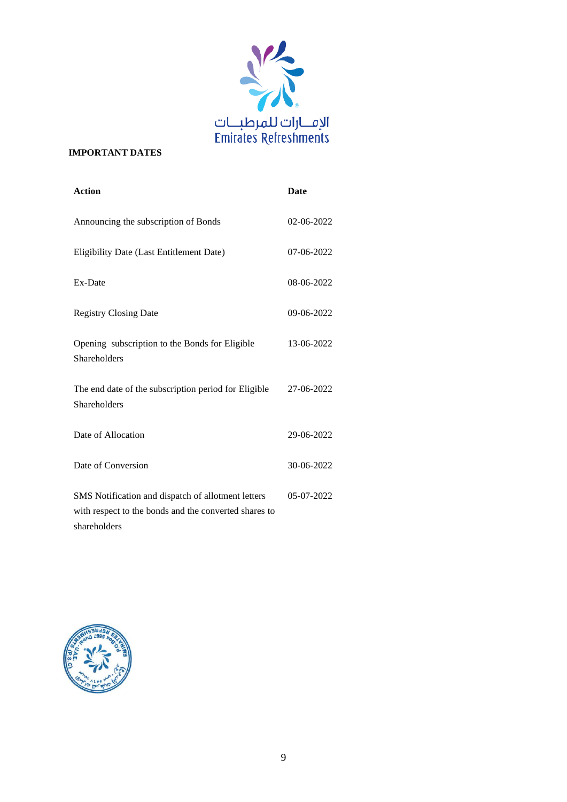

# <span id="page-8-0"></span>**IMPORTANT DATES**

| <b>Action</b>                                                                                                               | Date       |
|-----------------------------------------------------------------------------------------------------------------------------|------------|
| Announcing the subscription of Bonds                                                                                        | 02-06-2022 |
| Eligibility Date (Last Entitlement Date)                                                                                    | 07-06-2022 |
| Ex-Date                                                                                                                     | 08-06-2022 |
| <b>Registry Closing Date</b>                                                                                                | 09-06-2022 |
| Opening subscription to the Bonds for Eligible<br>Shareholders                                                              | 13-06-2022 |
| The end date of the subscription period for Eligible<br>Shareholders                                                        | 27-06-2022 |
| Date of Allocation                                                                                                          | 29-06-2022 |
| Date of Conversion                                                                                                          | 30-06-2022 |
| SMS Notification and dispatch of allotment letters<br>with respect to the bonds and the converted shares to<br>shareholders | 05-07-2022 |

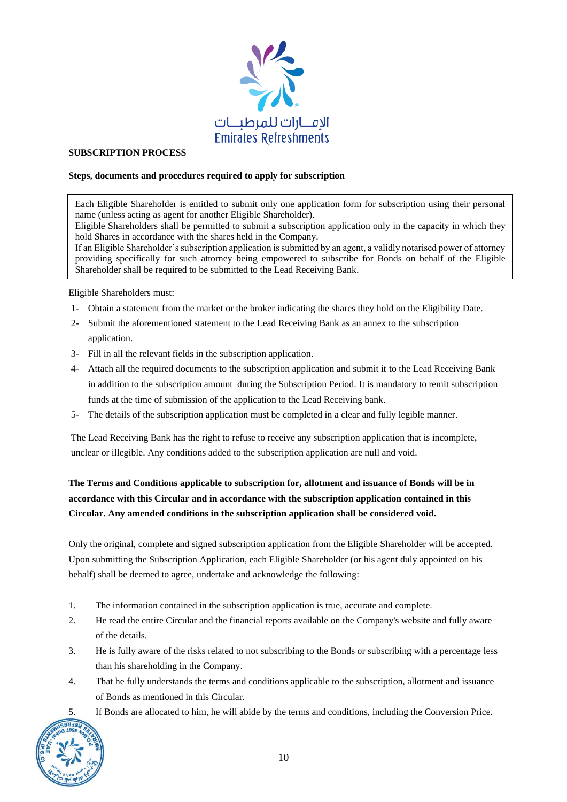

# <span id="page-9-0"></span>**SUBSCRIPTION PROCESS**

#### **Steps, documents and procedures required to apply for subscription**

Each Eligible Shareholder is entitled to submit only one application form for subscription using their personal name (unless acting as agent for another Eligible Shareholder).

Eligible Shareholders shall be permitted to submit a subscription application only in the capacity in which they hold Shares in accordance with the shares held in the Company.

If an Eligible Shareholder's subscription application is submitted by an agent, a validly notarised power of attorney providing specifically for such attorney being empowered to subscribe for Bonds on behalf of the Eligible Shareholder shall be required to be submitted to the Lead Receiving Bank.

Eligible Shareholders must:

- 1- Obtain a statement from the market or the broker indicating the shares they hold on the Eligibility Date.
- 2- Submit the aforementioned statement to the Lead Receiving Bank as an annex to the subscription application.
- 3- Fill in all the relevant fields in the subscription application.
- 4- Attach all the required documents to the subscription application and submit it to the Lead Receiving Bank in addition to the subscription amount during the Subscription Period. It is mandatory to remit subscription funds at the time of submission of the application to the Lead Receiving bank.
- 5- The details of the subscription application must be completed in a clear and fully legible manner.

The Lead Receiving Bank has the right to refuse to receive any subscription application that is incomplete, unclear or illegible. Any conditions added to the subscription application are null and void.

# **The Terms and Conditions applicable to subscription for, allotment and issuance of Bonds will be in accordance with this Circular and in accordance with the subscription application contained in this Circular. Any amended conditions in the subscription application shall be considered void.**

Only the original, complete and signed subscription application from the Eligible Shareholder will be accepted. Upon submitting the Subscription Application, each Eligible Shareholder (or his agent duly appointed on his behalf) shall be deemed to agree, undertake and acknowledge the following:

- 1. The information contained in the subscription application is true, accurate and complete.
- 2. He read the entire Circular and the financial reports available on the Company's website and fully aware of the details.
- 3. He is fully aware of the risks related to not subscribing to the Bonds or subscribing with a percentage less than his shareholding in the Company.
- 4. That he fully understands the terms and conditions applicable to the subscription, allotment and issuance of Bonds as mentioned in this Circular.
- 5. If Bonds are allocated to him, he will abide by the terms and conditions, including the Conversion Price.

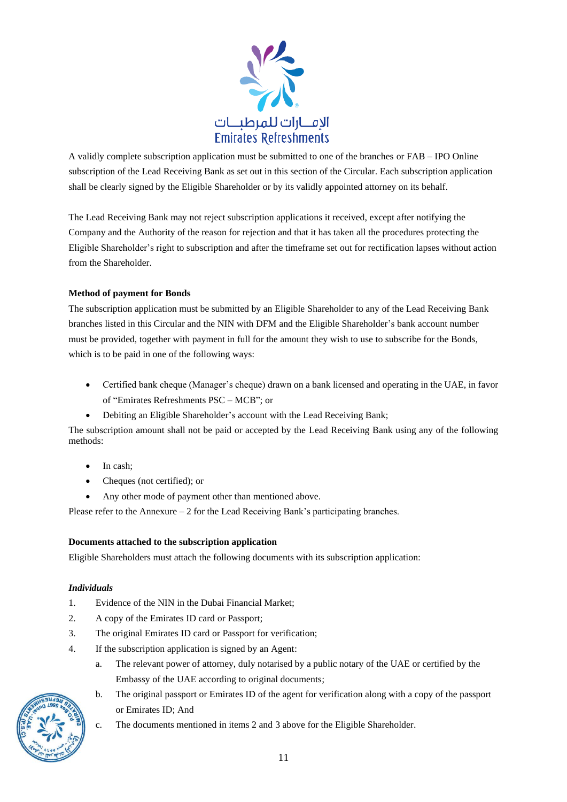

A validly complete subscription application must be submitted to one of the branches or FAB – IPO Online subscription of the Lead Receiving Bank as set out in this section of the Circular. Each subscription application shall be clearly signed by the Eligible Shareholder or by its validly appointed attorney on its behalf.

The Lead Receiving Bank may not reject subscription applications it received, except after notifying the Company and the Authority of the reason for rejection and that it has taken all the procedures protecting the Eligible Shareholder's right to subscription and after the timeframe set out for rectification lapses without action from the Shareholder.

# **Method of payment for Bonds**

The subscription application must be submitted by an Eligible Shareholder to any of the Lead Receiving Bank branches listed in this Circular and the NIN with DFM and the Eligible Shareholder's bank account number must be provided, together with payment in full for the amount they wish to use to subscribe for the Bonds, which is to be paid in one of the following ways:

- Certified bank cheque (Manager's cheque) drawn on a bank licensed and operating in the UAE, in favor of "Emirates Refreshments PSC – MCB"; or
- Debiting an Eligible Shareholder's account with the Lead Receiving Bank;

The subscription amount shall not be paid or accepted by the Lead Receiving Bank using any of the following methods:

- In cash:
- Cheques (not certified); or
- Any other mode of payment other than mentioned above.

Please refer to the Annexure  $-2$  for the Lead Receiving Bank's participating branches.

# **Documents attached to the subscription application**

Eligible Shareholders must attach the following documents with its subscription application:

# *Individuals*

- 1. Evidence of the NIN in the Dubai Financial Market;
- 2. A copy of the Emirates ID card or Passport;
- 3. The original Emirates ID card or Passport for verification;
- 4. If the subscription application is signed by an Agent:
	- a. The relevant power of attorney, duly notarised by a public notary of the UAE or certified by the Embassy of the UAE according to original documents;
	- b. The original passport or Emirates ID of the agent for verification along with a copy of the passport or Emirates ID; And



c. The documents mentioned in items 2 and 3 above for the Eligible Shareholder.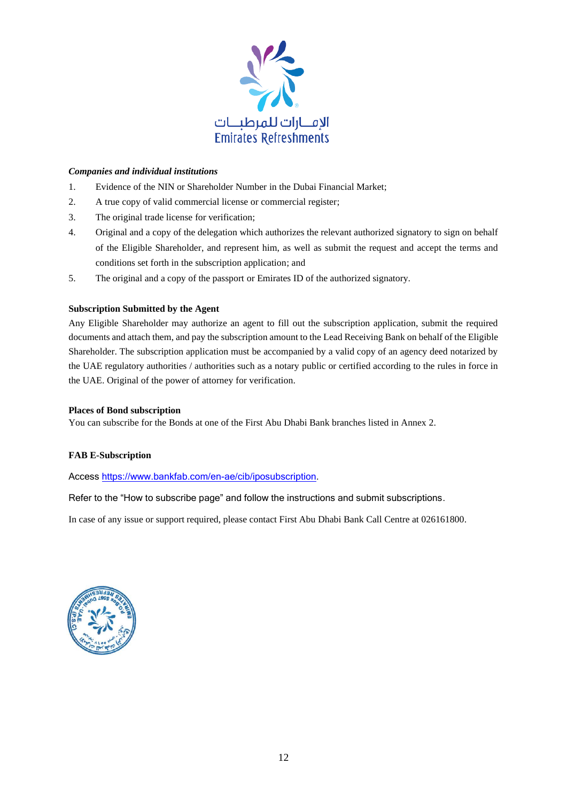

#### *Companies and individual institutions*

- 1. Evidence of the NIN or Shareholder Number in the Dubai Financial Market;
- 2. A true copy of valid commercial license or commercial register;
- 3. The original trade license for verification;
- 4. Original and a copy of the delegation which authorizes the relevant authorized signatory to sign on behalf of the Eligible Shareholder, and represent him, as well as submit the request and accept the terms and conditions set forth in the subscription application; and
- 5. The original and a copy of the passport or Emirates ID of the authorized signatory.

#### **Subscription Submitted by the Agent**

Any Eligible Shareholder may authorize an agent to fill out the subscription application, submit the required documents and attach them, and pay the subscription amount to the Lead Receiving Bank on behalf of the Eligible Shareholder. The subscription application must be accompanied by a valid copy of an agency deed notarized by the UAE regulatory authorities / authorities such as a notary public or certified according to the rules in force in the UAE. Original of the power of attorney for verification.

#### **Places of Bond subscription**

You can subscribe for the Bonds at one of the First Abu Dhabi Bank branches listed in Annex 2.

#### **FAB E-Subscription**

# Access [https://www.bankfab.com/en-ae/cib/iposubscription.](https://www.bankfab.com/en-ae/cib/iposubscription)

# Refer to the "How to subscribe page" and follow the instructions and submit subscriptions.

In case of any issue or support required, please contact First Abu Dhabi Bank Call Centre at 026161800.

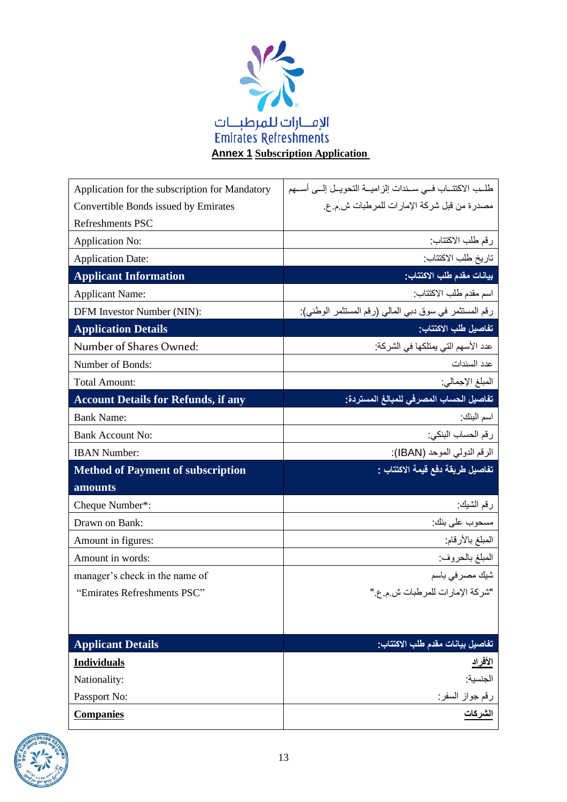

<span id="page-12-0"></span>

| Application for the subscription for Mandatory | طلـب الاكتتــاب فــي ســندات إلز اميـــة التحويــل إلـــي أســـهم |
|------------------------------------------------|-------------------------------------------------------------------|
| Convertible Bonds issued by Emirates           | مصدر ة من قبل شركة الإمار ات للمر طبات ش م ع.                     |
| Refreshments PSC                               |                                                                   |
| Application No:                                | رقم طلب الاكتتاب:                                                 |
| <b>Application Date:</b>                       | تاريخ طلب الاكتتاب:                                               |
| <b>Applicant Information</b>                   | بيانات مقدم طلب الاكتتاب:                                         |
| <b>Applicant Name:</b>                         | اسم مقدم طلب الاكتتاب:                                            |
| DFM Investor Number (NIN):                     | رقم المستثمر في سوق دبي المالي (رقم المستثمر الوطني):             |
| <b>Application Details</b>                     | تفاصيل طلب الاكتتاب:                                              |
| Number of Shares Owned:                        | عدد الأسهم التي يمتلكها في الشركة:                                |
| Number of Bonds:                               | عدد السندات                                                       |
| <b>Total Amount:</b>                           | المبلغ الإجمالي:                                                  |
| <b>Account Details for Refunds, if any</b>     | تفاصيل الحساب المصرفى للمبالغ المستردة:                           |
| <b>Bank Name:</b>                              | اسم البنك                                                         |
| <b>Bank Account No:</b>                        | رقم الحساب البنكي:                                                |
| <b>IBAN Number:</b>                            | الرقم الدولي الموحد (IBAN):                                       |
| Method of Payment of subscription              | تفاصيل طريقة دفع فيمة الاكتتاب :                                  |
| amounts                                        |                                                                   |
| Cheque Number*:                                | رقم الشيك:                                                        |
| Drawn on Bank:                                 | مسحوب على بنك:                                                    |
| Amount in figures:                             | المبلغ بالأرقام:                                                  |
| Amount in words:                               | المبلغ بالحروف:                                                   |
| manager's check in the name of                 | شيك مصر في باسم                                                   |
| "Emirates Refreshments PSC"                    | "شركة الإمارات للمرطبات ش.م.ع."                                   |
|                                                |                                                                   |
|                                                |                                                                   |
| <b>Applicant Details</b>                       | تفاصيل بيانات مقدم طلب الاكتتاب:                                  |
| <b>Individuals</b>                             | <u>الأفراد</u>                                                    |
| Nationality:                                   | الجنسية:                                                          |
| Passport No:                                   | رقم جواز السفر:                                                   |
| <b>Companies</b>                               | الشركات                                                           |

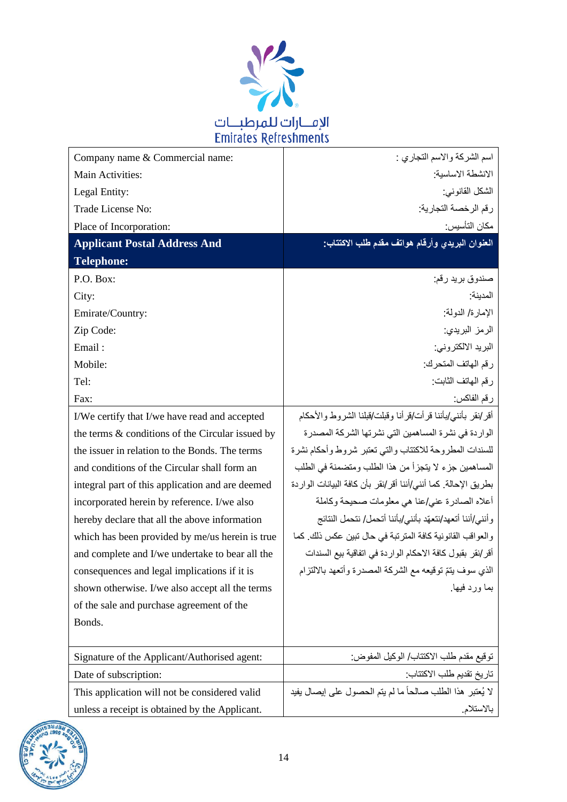

| Company name & Commercial name:                  | اسم الشركة والاسم التجاري :                                    |
|--------------------------------------------------|----------------------------------------------------------------|
| Main Activities:                                 | الانشطة الاساسية:                                              |
| Legal Entity:                                    | الشكل القانوني:                                                |
| Trade License No:                                | رقم الرخصة التجارية:                                           |
| Place of Incorporation:                          | مكان التأسيس:                                                  |
| <b>Applicant Postal Address And</b>              | العنوان البريدي وأرقام هواتف مقدم طلب الاكتتاب:                |
| <b>Telephone:</b>                                |                                                                |
| P.O. Box:                                        | صندوق بريد رقم:                                                |
| City:                                            | المدينة:                                                       |
| Emirate/Country:                                 | الإمارة/ الدولة:                                               |
| Zip Code:                                        | الرمز البريدي:                                                 |
| Email:                                           | البريد الالكتروني:                                             |
| Mobile:                                          | رقم الهاتف المتحرك:                                            |
| Tel:                                             | رقم الهاتف الثابت:                                             |
| Fax:                                             | رقم الفاكس:                                                    |
| I/We certify that I/we have read and accepted    | أقر /نقر بأنني/بأننا قرأت/قرأنا وقبلت/قبلنا الشروط والأحكام    |
| the terms & conditions of the Circular issued by | الواردة في نشرة المساهمين التي نشرتها الشركة المصدرة           |
| the issuer in relation to the Bonds. The terms   | للسندات المطروحة للاكتتاب والتي تعتبر شروط وأحكام نشرة         |
| and conditions of the Circular shall form an     | المساهمين جزء لا يتجزأ من هذا الطلب ومتضمنة في الطلب           |
| integral part of this application and are deemed | بطريق الإحالة. كما أنني/أننا أقر/نقر بأن كافة البيانات الواردة |
| incorporated herein by reference. I/we also      | أعلاه الصادرة عنى/عنا هي معلومات صحيحة وكاملة                  |
| hereby declare that all the above information    | وأنني/أننا أتعهد/نتعهّد بأنني/بأننا أتحمل/ نتحمل النتائج       |
| which has been provided by me/us herein is true  | والعواقب القانونية كافة المترتبة في حال تبين عكس ذلك. كما      |
| and complete and I/we undertake to bear all the  | أقر /نقر بقبول كافة الاحكام الواردة في اتفاقية بيع السندات     |
| consequences and legal implications if it is     | الذي سوف يتمّ توقيعه مع الشركة المصدرة وأتعهد بالالتزام        |
| shown otherwise. I/we also accept all the terms  | بما ورد فيها.                                                  |
| of the sale and purchase agreement of the        |                                                                |
| Bonds.                                           |                                                                |
|                                                  |                                                                |
| Signature of the Applicant/Authorised agent:     | توقيع مقدم طلب الاكتتاب/ الوكيل المفوض:                        |
| Date of subscription:                            | تاريخ تقديم طلب الاكتتاب:                                      |
| This application will not be considered valid    | لا يُعتبر هذا الطلب صالحاً ما لم يتم الحصول على إيصال يفيد     |
| unless a receipt is obtained by the Applicant.   | بالاستلام                                                      |

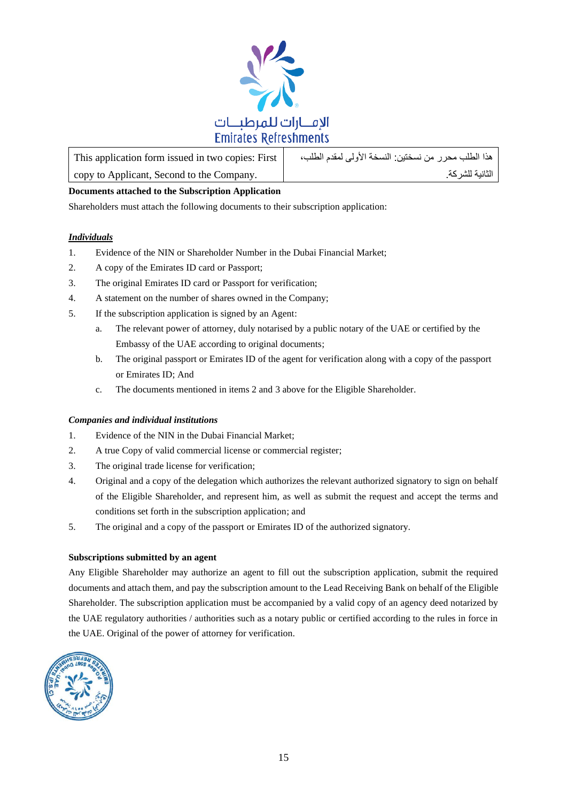

This application form issued in two copies: First copy to Applicant, Second to the Company. هذا الطلب محر ر من نسختين: النسخة الأولى لمقدم الطلب، الثانية للشر كة.

## **Documents attached to the Subscription Application**

Shareholders must attach the following documents to their subscription application:

#### *Individuals*

- 1. Evidence of the NIN or Shareholder Number in the Dubai Financial Market;
- 2. A copy of the Emirates ID card or Passport;
- 3. The original Emirates ID card or Passport for verification;
- 4. A statement on the number of shares owned in the Company;
- 5. If the subscription application is signed by an Agent:
	- a. The relevant power of attorney, duly notarised by a public notary of the UAE or certified by the Embassy of the UAE according to original documents;
	- b. The original passport or Emirates ID of the agent for verification along with a copy of the passport or Emirates ID; And
	- c. The documents mentioned in items 2 and 3 above for the Eligible Shareholder.

#### *Companies and individual institutions*

- 1. Evidence of the NIN in the Dubai Financial Market;
- 2. A true Copy of valid commercial license or commercial register;
- 3. The original trade license for verification;
- 4. Original and a copy of the delegation which authorizes the relevant authorized signatory to sign on behalf of the Eligible Shareholder, and represent him, as well as submit the request and accept the terms and conditions set forth in the subscription application; and
- 5. The original and a copy of the passport or Emirates ID of the authorized signatory.

#### **Subscriptions submitted by an agent**

Any Eligible Shareholder may authorize an agent to fill out the subscription application, submit the required documents and attach them, and pay the subscription amount to the Lead Receiving Bank on behalf of the Eligible Shareholder. The subscription application must be accompanied by a valid copy of an agency deed notarized by the UAE regulatory authorities / authorities such as a notary public or certified according to the rules in force in the UAE. Original of the power of attorney for verification.

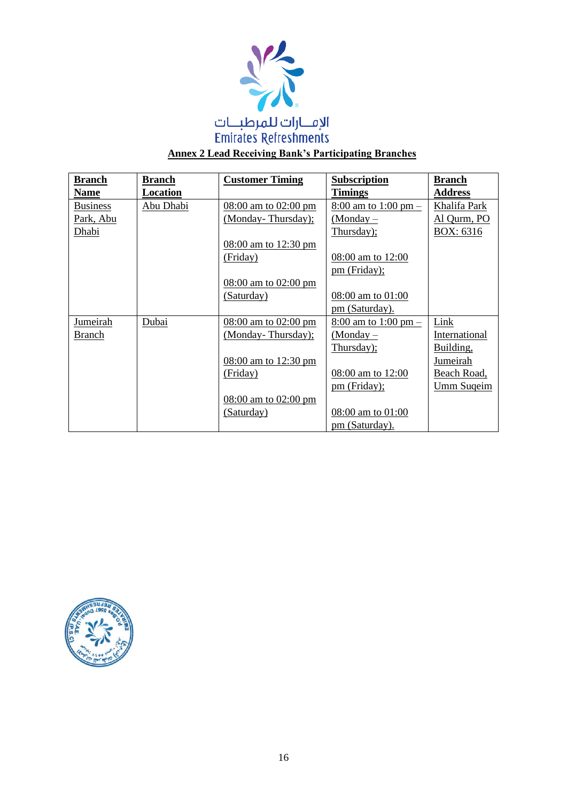

<span id="page-15-0"></span>

| <b>Branch</b>   | <b>Branch</b> | <b>Customer Timing</b>   | <b>Subscription</b>  | <b>Branch</b>  |
|-----------------|---------------|--------------------------|----------------------|----------------|
| <b>Name</b>     | Location      |                          | <b>Timings</b>       | <b>Address</b> |
| <b>Business</b> | Abu Dhabi     | 08:00 am to 02:00 pm     | 8:00 am to 1:00 pm – | Khalifa Park   |
| Park, Abu       |               | (Monday-Thursday);       | (Monday –            | Al Qurm, PO    |
| Dhabi           |               |                          | Thursday);           | BOX: 6316      |
|                 |               | 08:00 am to 12:30 pm     |                      |                |
|                 |               | (Friday)                 | 08:00 am to 12:00    |                |
|                 |               |                          | pm (Friday);         |                |
|                 |               | $08:00$ am to $02:00$ pm |                      |                |
|                 |               | (Saturday)               | 08:00 am to 01:00    |                |
|                 |               |                          | pm (Saturday).       |                |
| <b>Jumeirah</b> | Dubai         | 08:00 am to 02:00 pm     | 8:00 am to 1:00 pm – | Link           |
| Branch          |               | (Monday-Thursday);       | $(Monday -$          | International  |
|                 |               |                          | Thursday);           | Building,      |
|                 |               | 08:00 am to 12:30 pm     |                      | Jumeirah       |
|                 |               | (Friday)                 | 08:00 am to 12:00    | Beach Road,    |
|                 |               |                          | pm (Friday);         | Umm Sugeim     |
|                 |               | $08:00$ am to $02:00$ pm |                      |                |
|                 |               | (Saturday)               | 08:00 am to 01:00    |                |
|                 |               |                          | pm (Saturday).       |                |